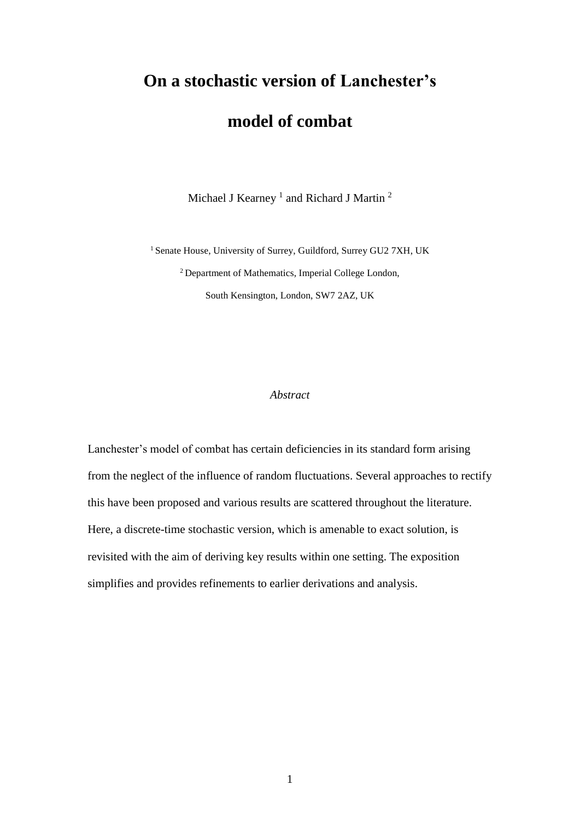# **On a stochastic version of Lanchester's**

## **model of combat**

Michael J Kearney<sup>1</sup> and Richard J Martin<sup>2</sup>

<sup>1</sup> Senate House, University of Surrey, Guildford, Surrey GU2 7XH, UK <sup>2</sup>Department of Mathematics, Imperial College London, South Kensington, London, SW7 2AZ, UK

#### *Abstract*

Lanchester's model of combat has certain deficiencies in its standard form arising from the neglect of the influence of random fluctuations. Several approaches to rectify this have been proposed and various results are scattered throughout the literature. Here, a discrete-time stochastic version, which is amenable to exact solution, is revisited with the aim of deriving key results within one setting. The exposition simplifies and provides refinements to earlier derivations and analysis.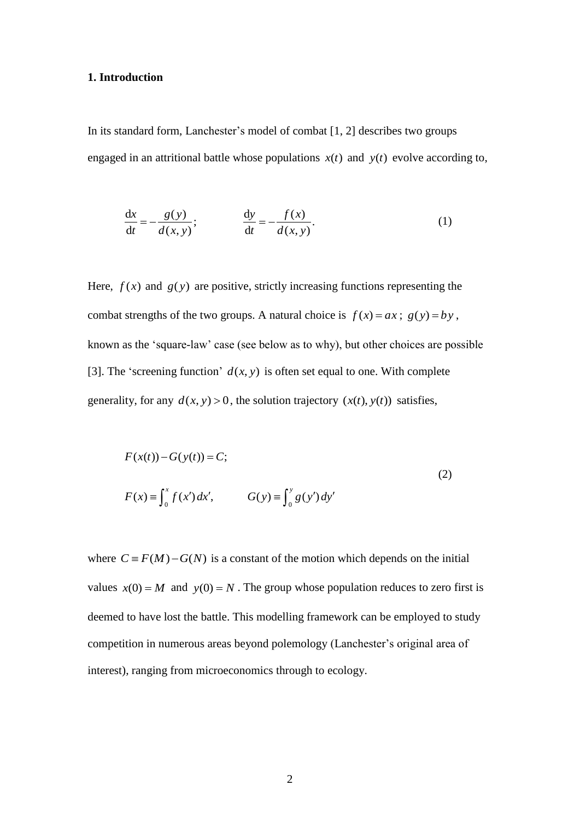### **1. Introduction**

In its standard form, Lanchester's model of combat [1, 2] describes two groups engaged in an attritional battle whose populations  $x(t)$  and  $y(t)$  evolve according to,

$$
\frac{dx}{dt} = -\frac{g(y)}{d(x, y)}; \qquad \frac{dy}{dt} = -\frac{f(x)}{d(x, y)}.
$$
 (1)

Here,  $f(x)$  and  $g(y)$  are positive, strictly increasing functions representing the combat strengths of the two groups. A natural choice is  $f(x) = ax$ ;  $g(y) = by$ , known as the 'square-law' case (see below as to why), but other choices are possible [3]. The 'screening function'  $d(x, y)$  is often set equal to one. With complete generality, for any  $d(x, y) > 0$ , the solution trajectory  $(x(t), y(t))$  satisfies,

$$
F(x(t)) - G(y(t)) = C;
$$
  
\n
$$
F(x) = \int_0^x f(x') dx', \qquad G(y) = \int_0^y g(y') dy'
$$
\n(2)

where  $C = F(M) - G(N)$  is a constant of the motion which depends on the initial values  $x(0) = M$  and  $y(0) = N$ . The group whose population reduces to zero first is deemed to have lost the battle. This modelling framework can be employed to study competition in numerous areas beyond polemology (Lanchester's original area of interest), ranging from microeconomics through to ecology.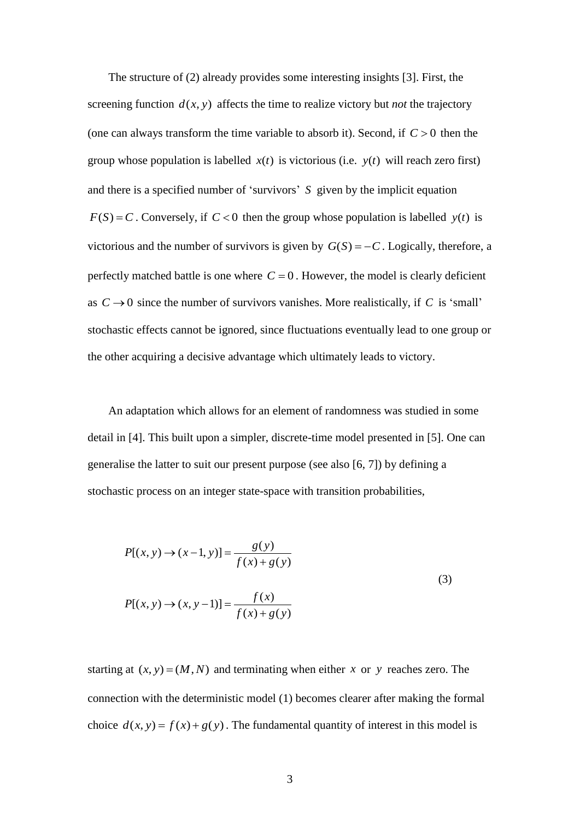The structure of (2) already provides some interesting insights [3]. First, the screening function  $d(x, y)$  affects the time to realize victory but *not* the trajectory (one can always transform the time variable to absorb it). Second, if  $C > 0$  then the group whose population is labelled  $x(t)$  is victorious (i.e.  $y(t)$  will reach zero first) and there is a specified number of 'survivors' *S* given by the implicit equation  $F(S) = C$ . Conversely, if  $C < 0$  then the group whose population is labelled  $y(t)$  is victorious and the number of survivors is given by  $G(S) = -C$ . Logically, therefore, a perfectly matched battle is one where  $C = 0$ . However, the model is clearly deficient as  $C \rightarrow 0$  since the number of survivors vanishes. More realistically, if C is 'small' stochastic effects cannot be ignored, since fluctuations eventually lead to one group or the other acquiring a decisive advantage which ultimately leads to victory.

An adaptation which allows for an element of randomness was studied in some detail in [4]. This built upon a simpler, discrete-time model presented in [5]. One can generalise the latter to suit our present purpose (see also [6, 7]) by defining a stochastic process on an integer state-space with transition probabilities,

$$
P[(x, y) \to (x - 1, y)] = \frac{g(y)}{f(x) + g(y)}
$$
  
(3)  

$$
P[(x, y) \to (x, y - 1)] = \frac{f(x)}{f(x) + g(y)}
$$

starting at  $(x, y) = (M, N)$  and terminating when either x or y reaches zero. The connection with the deterministic model (1) becomes clearer after making the formal choice  $d(x, y) = f(x) + g(y)$ . The fundamental quantity of interest in this model is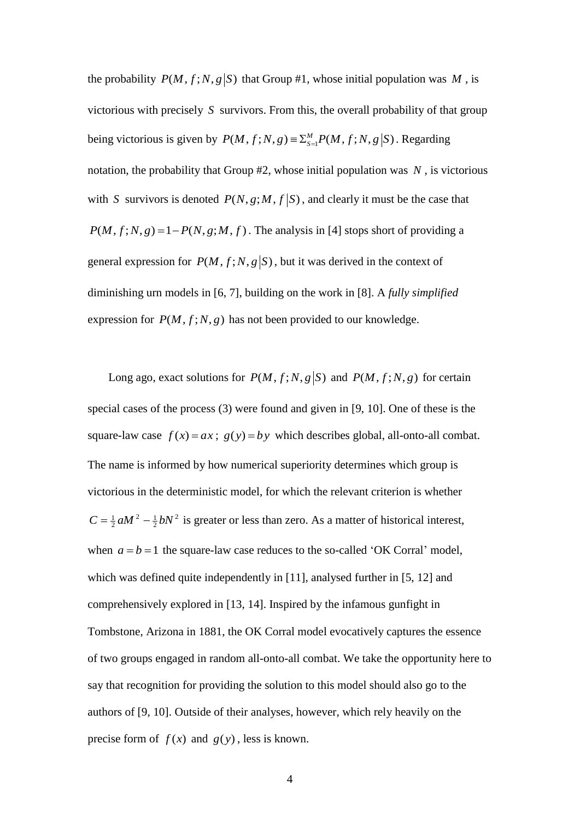the probability  $P(M, f; N, g | S)$  that Group #1, whose initial population was M, is victorious with precisely *S* survivors. From this, the overall probability of that group being victorious is given by  $P(M, f; N, g) \equiv \sum_{s=1}^{M} P(M, f; N, g | S)$ . Regarding notation, the probability that Group #2, whose initial population was *N* , is victorious with S survivors is denoted  $P(N, g; M, f | S)$ , and clearly it must be the case that  $P(M, f; N, g) = 1 - P(N, g; M, f)$ . The analysis in [4] stops short of providing a general expression for  $P(M, f; N, g | S)$ , but it was derived in the context of diminishing urn models in [6, 7], building on the work in [8]. A *fully simplified* expression for  $P(M, f; N, g)$  has not been provided to our knowledge.

Long ago, exact solutions for  $P(M, f; N, g | S)$  and  $P(M, f; N, g)$  for certain special cases of the process (3) were found and given in [9, 10]. One of these is the square-law case  $f(x) = ax$ ;  $g(y) = by$  which describes global, all-onto-all combat. The name is informed by how numerical superiority determines which group is victorious in the deterministic model, for which the relevant criterion is whether 2  $C = \frac{1}{2} a M^2 - \frac{1}{2} b N^2$  is greater or less than zero. As a matter of historical interest, when  $a = b = 1$  the square-law case reduces to the so-called 'OK Corral' model, which was defined quite independently in [11], analysed further in [5, 12] and comprehensively explored in [13, 14]. Inspired by the infamous gunfight in Tombstone, Arizona in 1881, the OK Corral model evocatively captures the essence of two groups engaged in random all-onto-all combat. We take the opportunity here to say that recognition for providing the solution to this model should also go to the authors of [9, 10]. Outside of their analyses, however, which rely heavily on the precise form of  $f(x)$  and  $g(y)$ , less is known.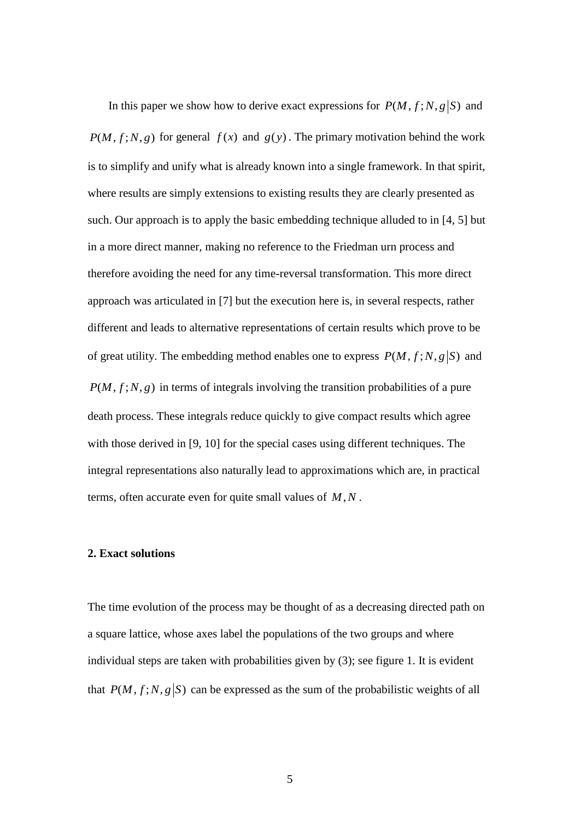In this paper we show how to derive exact expressions for  $P(M, f; N, g | S)$  and  $P(M, f; N, g)$  for general  $f(x)$  and  $g(y)$ . The primary motivation behind the work is to simplify and unify what is already known into a single framework. In that spirit, where results are simply extensions to existing results they are clearly presented as such. Our approach is to apply the basic embedding technique alluded to in [4, 5] but in a more direct manner, making no reference to the Friedman urn process and therefore avoiding the need for any time-reversal transformation. This more direct approach was articulated in [7] but the execution here is, in several respects, rather different and leads to alternative representations of certain results which prove to be of great utility. The embedding method enables one to express  $P(M, f; N, g | S)$  and  $P(M, f; N, g)$  in terms of integrals involving the transition probabilities of a pure death process. These integrals reduce quickly to give compact results which agree with those derived in [9, 10] for the special cases using different techniques. The integral representations also naturally lead to approximations which are, in practical terms, often accurate even for quite small values of *M*,*N* .

#### **2. Exact solutions**

The time evolution of the process may be thought of as a decreasing directed path on a square lattice, whose axes label the populations of the two groups and where individual steps are taken with probabilities given by (3); see figure 1. It is evident that  $P(M, f; N, g | S)$  can be expressed as the sum of the probabilistic weights of all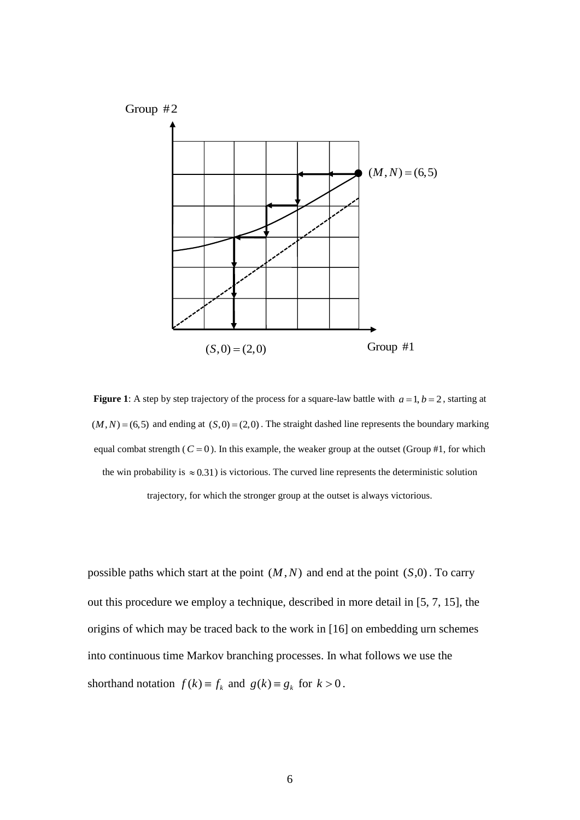

**Figure 1**: A step by step trajectory of the process for a square-law battle with  $a = 1, b = 2$ , starting at  $(M, N) = (6, 5)$  and ending at  $(S, 0) = (2, 0)$ . The straight dashed line represents the boundary marking equal combat strength  $(C = 0)$ . In this example, the weaker group at the outset (Group #1, for which the win probability is  $\approx 0.31$ ) is victorious. The curved line represents the deterministic solution trajectory, for which the stronger group at the outset is always victorious.

possible paths which start at the point  $(M, N)$  and end at the point  $(S, 0)$ . To carry out this procedure we employ a technique, described in more detail in [5, 7, 15], the origins of which may be traced back to the work in [16] on embedding urn schemes into continuous time Markov branching processes. In what follows we use the shorthand notation  $f(k) \equiv f_k$  and  $g(k) \equiv g_k$  for  $k > 0$ .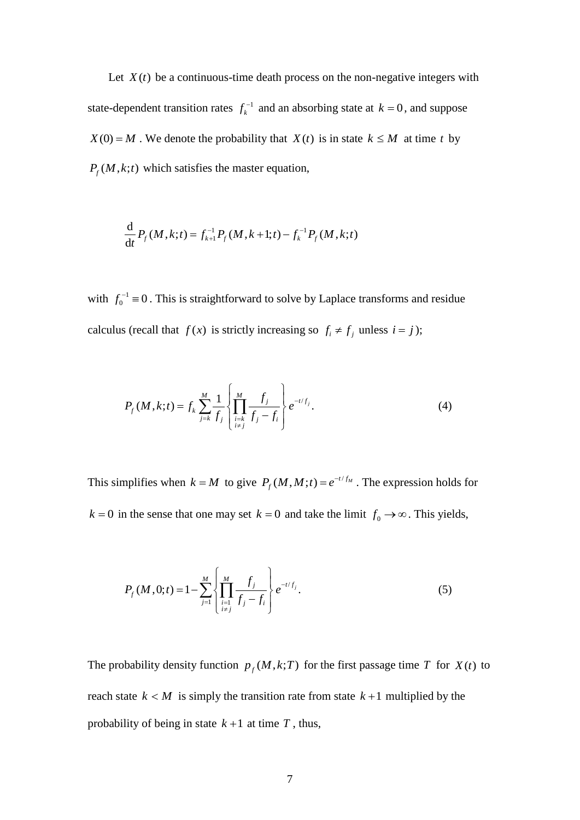Let  $X(t)$  be a continuous-time death process on the non-negative integers with state-dependent transition rates  $f_k^{-1}$  $f_k^{-1}$  and an absorbing state at  $k = 0$ , and suppose  $X(0) = M$ . We denote the probability that  $X(t)$  is in state  $k \leq M$  at time t by  $P_f(M,k;t)$  which satisfies the master equation,

$$
\frac{\mathrm{d}}{\mathrm{d}t} P_f(M, k; t) = f_{k+1}^{-1} P_f(M, k+1; t) - f_k^{-1} P_f(M, k; t)
$$

with  $f_0^{-1} \equiv 0$ . This is straightforward to solve by Laplace transforms and residue calculus (recall that  $f(x)$  is strictly increasing so  $f_i \neq f_j$  unless  $i = j$ );

$$
P_f(M,k;t) = f_k \sum_{j=k}^{M} \frac{1}{f_j} \left\{ \prod_{\substack{i=k \\ i \neq j}}^{M} \frac{f_j}{f_j - f_i} \right\} e^{-t/f_j}.
$$
 (4)

This simplifies when  $k = M$  to give  $P_f(M, M; t) = e^{-t/f_M}$ . The expression holds for  $k = 0$  in the sense that one may set  $k = 0$  and take the limit  $f_0 \rightarrow \infty$ . This yields,

$$
P_f(M, 0; t) = 1 - \sum_{j=1}^{M} \left\{ \prod_{\substack{i=1 \\ i \neq j}}^{M} \frac{f_j}{f_j - f_i} \right\} e^{-t/f_j}.
$$
 (5)

The probability density function  $p_f(M, k; T)$  for the first passage time T for  $X(t)$  to reach state  $k < M$  is simply the transition rate from state  $k+1$  multiplied by the probability of being in state  $k+1$  at time  $T$ , thus,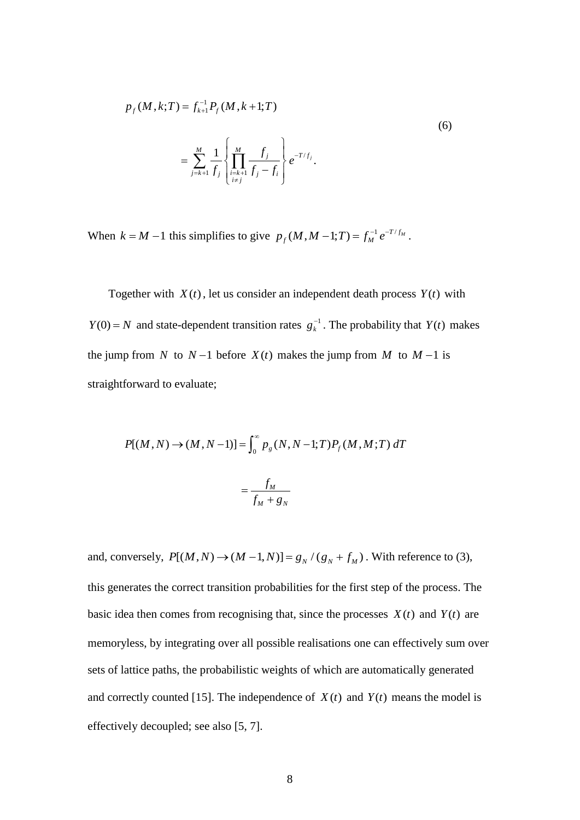$$
p_f(M, k; T) = f_{k+1}^{-1} P_f(M, k+1; T)
$$
\n
$$
= \sum_{j=k+1}^{M} \frac{1}{f_j} \left\{ \prod_{\substack{i=k+1 \ i \neq j}}^{M} \frac{f_j}{f_j - f_i} \right\} e^{-T/f_j}.
$$
\n(6)

When  $k = M - 1$  this simplifies to give  $p_f(M, M - 1; T) = f_M^{-1} e^{-T/f_M}$ .

Together with  $X(t)$ , let us consider an independent death process  $Y(t)$  with *Y*(0) = *N* and state-dependent transition rates  $g_k^{-1}$ . The probability that *Y*(*t*) makes the jump from *N* to  $N-1$  before  $X(t)$  makes the jump from *M* to  $M-1$  is straightforward to evaluate;

$$
P[(M, N) \to (M, N-1)] = \int_0^\infty p_g(N, N-1; T) P_f(M, M; T) dT
$$
  
= 
$$
\frac{f_M}{f_M + g_N}
$$

and, conversely,  $P[(M, N) \rightarrow (M - 1, N)] = g_N / (g_N + f_M)$ . With reference to (3), this generates the correct transition probabilities for the first step of the process. The basic idea then comes from recognising that, since the processes  $X(t)$  and  $Y(t)$  are memoryless, by integrating over all possible realisations one can effectively sum over sets of lattice paths, the probabilistic weights of which are automatically generated and correctly counted [15]. The independence of  $X(t)$  and  $Y(t)$  means the model is effectively decoupled; see also [5, 7].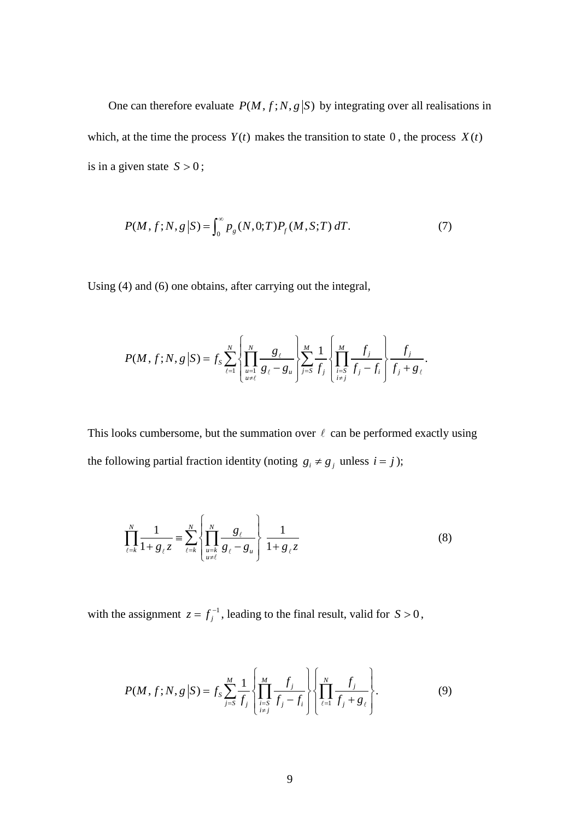One can therefore evaluate  $P(M, f; N, g | S)$  by integrating over all realisations in which, at the time the process  $Y(t)$  makes the transition to state 0, the process  $X(t)$ is in a given state  $S > 0$ ;

$$
P(M, f; N, g | S) = \int_0^\infty p_g(N, 0; T) P_f(M, S; T) dT.
$$
 (7)

Using (4) and (6) one obtains, after carrying out the integral,

$$
P(M, f; N, g | S) = f_S \sum_{\ell=1}^{N} \left\{ \prod_{\substack{u=1 \ u \neq \ell}}^{N} \frac{g_{\ell}}{g_{\ell} - g_{u}} \right\} \sum_{j= S}^{M} \frac{1}{f_{j}} \left\{ \prod_{\substack{i= S \ i \neq j}}^{M} \frac{f_{j}}{f_{j} - f_{i}} \right\} \frac{f_{j}}{f_{j} + g_{\ell}}.
$$

This looks cumbersome, but the summation over  $\ell$  can be performed exactly using the following partial fraction identity (noting  $g_i \neq g_j$  unless  $i = j$ );

$$
\prod_{\ell=k}^{N} \frac{1}{1 + g_{\ell} z} \equiv \sum_{\ell=k}^{N} \left\{ \prod_{\substack{u=k \\ u \neq \ell}}^{N} \frac{g_{\ell}}{g_{\ell} - g_{u}} \right\} \frac{1}{1 + g_{\ell} z}
$$
(8)

with the assignment  $z = f_j^{-1}$ , leading to the final result, valid for  $S > 0$ ,

$$
P(M, f; N, g | S) = f_s \sum_{j=s}^{M} \frac{1}{f_j} \left\{ \prod_{\substack{i=1 \ i \neq j}}^{M} \frac{f_j}{f_j - f_i} \right\} \left\{ \prod_{\ell=1}^{N} \frac{f_j}{f_j + g_\ell} \right\}.
$$
 (9)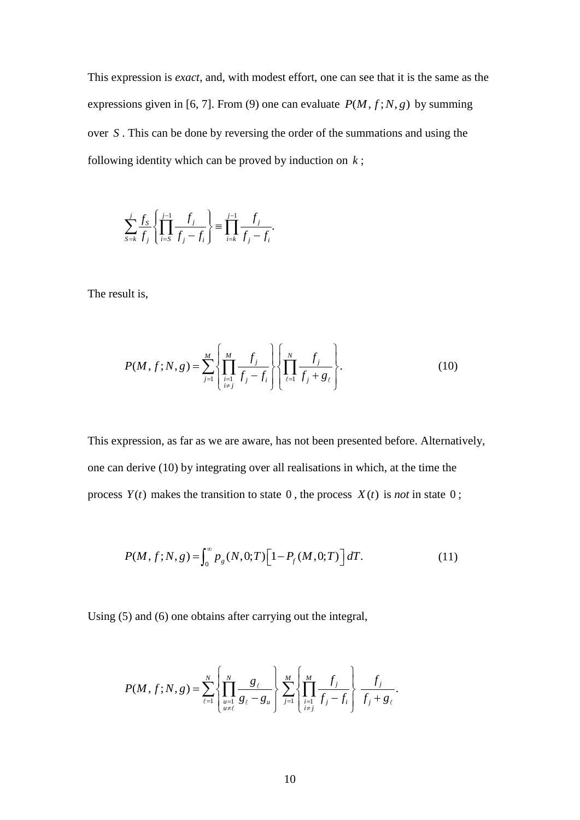This expression is *exact*, and, with modest effort, one can see that it is the same as the expressions given in [6, 7]. From (9) one can evaluate  $P(M, f; N, g)$  by summing over *S* . This can be done by reversing the order of the summations and using the following identity which can be proved by induction on *k* ;

.

$$
\sum_{s=k}^{j} \frac{f_s}{f_j} \left\{ \prod_{i=s}^{j-1} \frac{f_j}{f_j - f_i} \right\} \equiv \prod_{i=k}^{j-1} \frac{f_j}{f_j - f_i}.
$$

The result is,

$$
P(M, f; N, g) = \sum_{j=1}^{M} \left\{ \prod_{\substack{i=1 \ i \neq j}}^{M} \frac{f_j}{f_j - f_i} \right\} \left\{ \prod_{\ell=1}^{N} \frac{f_j}{f_j + g_{\ell}} \right\}.
$$
 (10)

This expression, as far as we are aware, has not been presented before. Alternatively, one can derive (10) by integrating over all realisations in which, at the time the process  $Y(t)$  makes the transition to state 0, the process  $X(t)$  is *not* in state 0;

$$
P(M, f; N, g) = \int_0^\infty p_g(N, 0; T) \left[1 - P_f(M, 0; T)\right] dT.
$$
 (11)

Using (5) and (6) one obtains after carrying out the integral,

$$
P(M, f; N, g) = \sum_{\ell=1}^{N} \left\{ \prod_{\substack{u=1 \ u \neq \ell}}^{N} \frac{g_{\ell}}{g_{\ell} - g_{u}} \right\} \sum_{j=1}^{M} \left\{ \prod_{\substack{i=1 \ i \neq j}}^{M} \frac{f_{j}}{f_{j} - f_{i}} \right\} \frac{f_{j}}{f_{j} + g_{\ell}}.
$$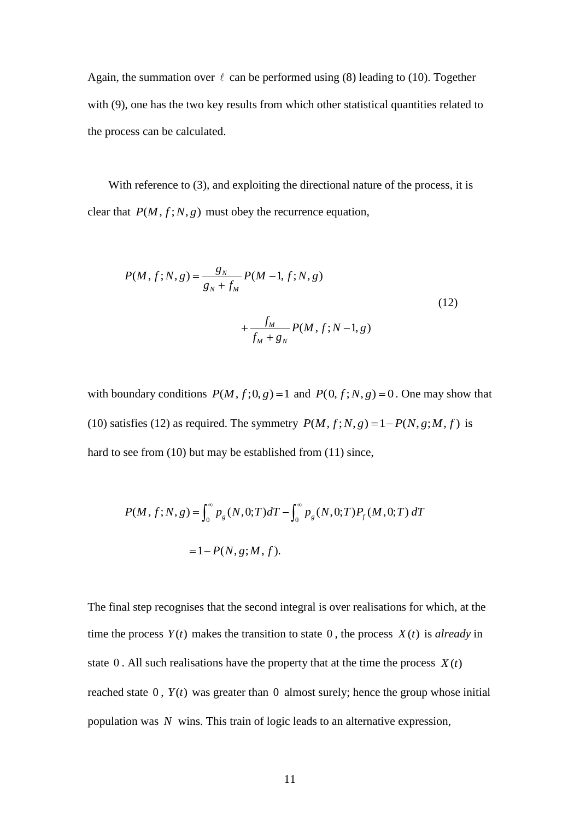Again, the summation over  $\ell$  can be performed using (8) leading to (10). Together with (9), one has the two key results from which other statistical quantities related to the process can be calculated.

With reference to (3), and exploiting the directional nature of the process, it is clear that  $P(M, f; N, g)$  must obey the recurrence equation,

$$
P(M, f; N, g) = \frac{g_N}{g_N + f_M} P(M - 1, f; N, g)
$$
  
+ 
$$
\frac{f_M}{f_M + g_N} P(M, f; N - 1, g)
$$
 (12)

with boundary conditions  $P(M, f; 0, g) = 1$  and  $P(0, f; N, g) = 0$ . One may show that (10) satisfies (12) as required. The symmetry  $P(M, f; N, g) = 1 - P(N, g; M, f)$  is hard to see from (10) but may be established from (11) since,

$$
P(M, f; N, g) = \int_0^\infty p_g(N, 0; T) dT - \int_0^\infty p_g(N, 0; T) P_f(M, 0; T) dT
$$
  
= 1 - P(N, g; M, f).

The final step recognises that the second integral is over realisations for which, at the time the process  $Y(t)$  makes the transition to state 0, the process  $X(t)$  is *already* in state  $0$ . All such realisations have the property that at the time the process  $X(t)$ reached state  $0$ ,  $Y(t)$  was greater than  $0$  almost surely; hence the group whose initial population was *N* wins. This train of logic leads to an alternative expression,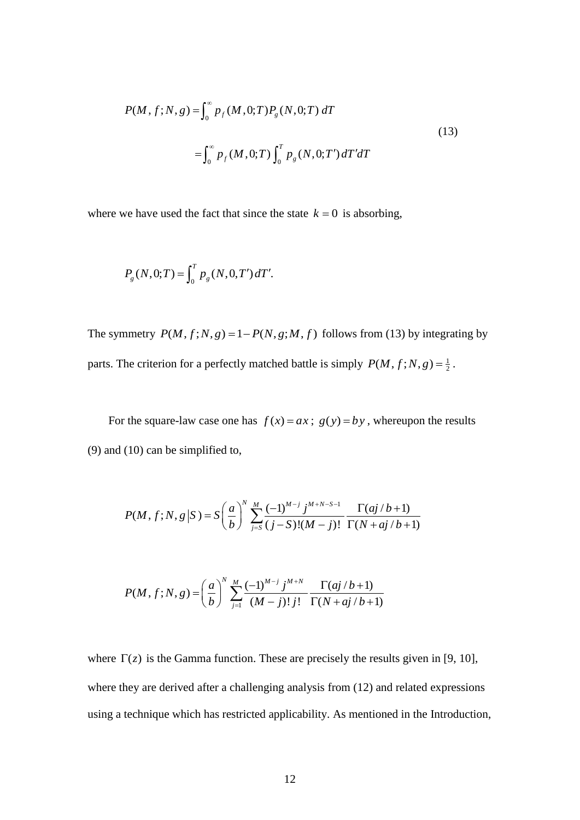$$
P(M, f; N, g) = \int_0^\infty p_f(M, 0; T) P_g(N, 0; T) dT
$$
  
= 
$$
\int_0^\infty p_f(M, 0; T) \int_0^T p_g(N, 0; T') dT' dT
$$
 (13)

where we have used the fact that since the state  $k = 0$  is absorbing,

$$
P_g(N,0;T) = \int_0^T p_g(N,0,T') dT'.
$$

The symmetry  $P(M, f; N, g) = 1 - P(N, g; M, f)$  follows from (13) by integrating by parts. The criterion for a perfectly matched battle is simply  $P(M, f; N, g) = \frac{1}{2}$ .

For the square-law case one has  $f(x) = ax$ ;  $g(y) = by$ , whereupon the results (9) and (10) can be simplified to,

$$
P(M, f; N, g | S) = S\left(\frac{a}{b}\right)^N \sum_{j=S}^M \frac{(-1)^{M-j} j^{M+N-S-1}}{(j-S)!(M-j)!} \frac{\Gamma(aj/b+1)}{\Gamma(N+aj/b+1)}
$$

$$
P(M, f; N, g) = \left(\frac{a}{b}\right)^N \sum_{j=1}^M \frac{(-1)^{M-j} j^{M+N}}{(M-j)! j!} \frac{\Gamma(aj/b+1)}{\Gamma(N+aj/b+1)}
$$

where  $\Gamma(z)$  is the Gamma function. These are precisely the results given in [9, 10], where they are derived after a challenging analysis from (12) and related expressions using a technique which has restricted applicability. As mentioned in the Introduction,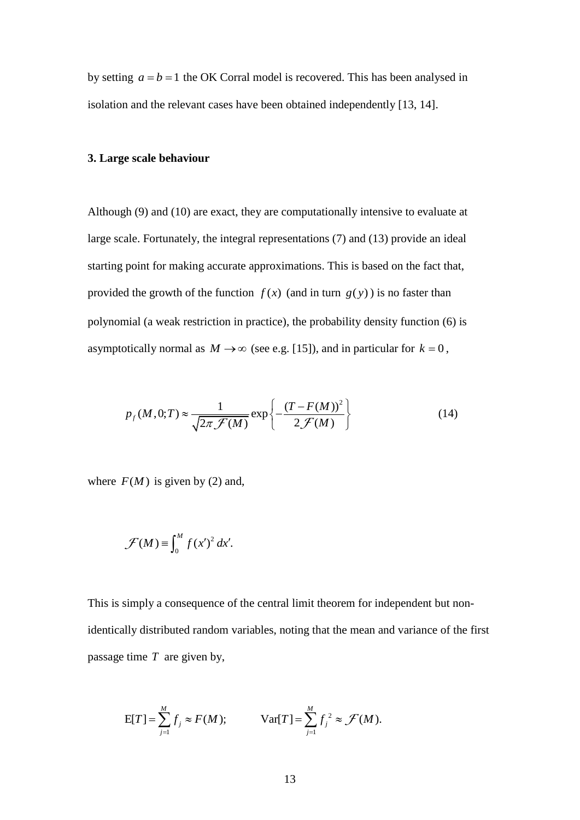by setting  $a = b = 1$  the OK Corral model is recovered. This has been analysed in isolation and the relevant cases have been obtained independently [13, 14].

### **3. Large scale behaviour**

Although (9) and (10) are exact, they are computationally intensive to evaluate at large scale. Fortunately, the integral representations (7) and (13) provide an ideal starting point for making accurate approximations. This is based on the fact that, provided the growth of the function  $f(x)$  (and in turn  $g(y)$ ) is no faster than polynomial (a weak restriction in practice), the probability density function (6) is asymptotically normal as  $M \rightarrow \infty$  (see e.g. [15]), and in particular for  $k = 0$ ,

$$
p_f(M, 0; T) \approx \frac{1}{\sqrt{2\pi \mathcal{F}(M)}} \exp\left\{-\frac{(T - F(M))^2}{2\mathcal{F}(M)}\right\}
$$
(14)

where  $F(M)$  is given by (2) and,

$$
\mathcal{F}(M) \equiv \int_0^M f(x')^2 dx'.
$$

This is simply a consequence of the central limit theorem for independent but nonidentically distributed random variables, noting that the mean and variance of the first passage time *T* are given by,

$$
E[T] = \sum_{j=1}^{M} f_j \approx F(M); \qquad \text{Var}[T] = \sum_{j=1}^{M} f_j^2 \approx \mathcal{F}(M).
$$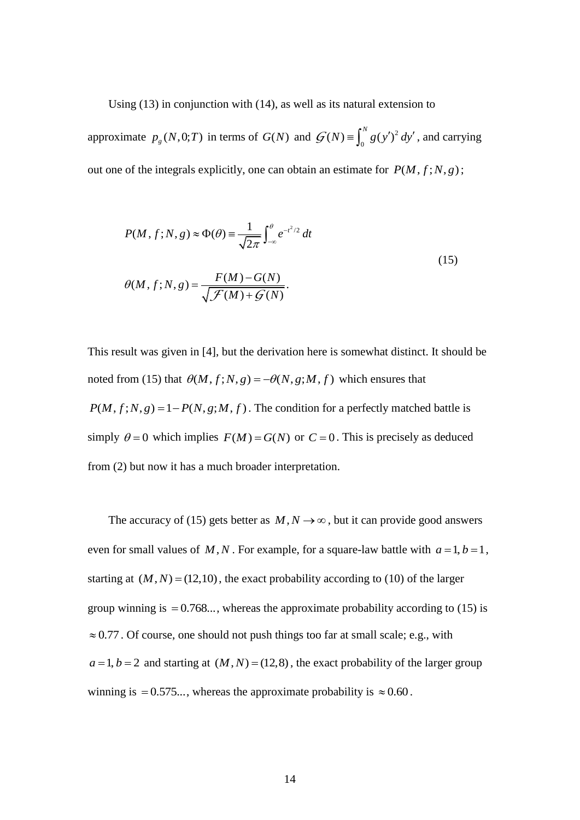Using (13) in conjunction with (14), as well as its natural extension to

approximate  $p_g(N,0;T)$  in terms of  $G(N)$  and  $\mathcal{G}(N) \equiv \int_0^N g(y')^2$  $G(N) \equiv \int_0^N g(y')^2 dy'$ , and carrying out one of the integrals explicitly, one can obtain an estimate for  $P(M, f; N, g)$ ;

$$
P(M, f; N, g) \approx \Phi(\theta) \equiv \frac{1}{\sqrt{2\pi}} \int_{-\infty}^{\theta} e^{-t^2/2} dt
$$
  

$$
\theta(M, f; N, g) = \frac{F(M) - G(N)}{\sqrt{\mathcal{F}(M) + \mathcal{G}(N)}}.
$$
 (15)

This result was given in [4], but the derivation here is somewhat distinct. It should be noted from (15) that  $\theta(M, f; N, g) = -\theta(N, g; M, f)$  which ensures that  $P(M, f; N, g) = 1 - P(N, g; M, f)$ . The condition for a perfectly matched battle is simply  $\theta = 0$  which implies  $F(M) = G(N)$  or  $C = 0$ . This is precisely as deduced from (2) but now it has a much broader interpretation.

The accuracy of (15) gets better as  $M, N \rightarrow \infty$ , but it can provide good answers even for small values of M, N. For example, for a square-law battle with  $a = 1, b = 1$ , starting at  $(M, N) = (12, 10)$ , the exact probability according to (10) of the larger group winning is  $= 0.768...$ , whereas the approximate probability according to (15) is  $\approx 0.77$ . Of course, one should not push things too far at small scale; e.g., with  $a = 1, b = 2$  and starting at  $(M, N) = (12, 8)$ , the exact probability of the larger group winning is = 0.575..., whereas the approximate probability is  $\approx 0.60$ .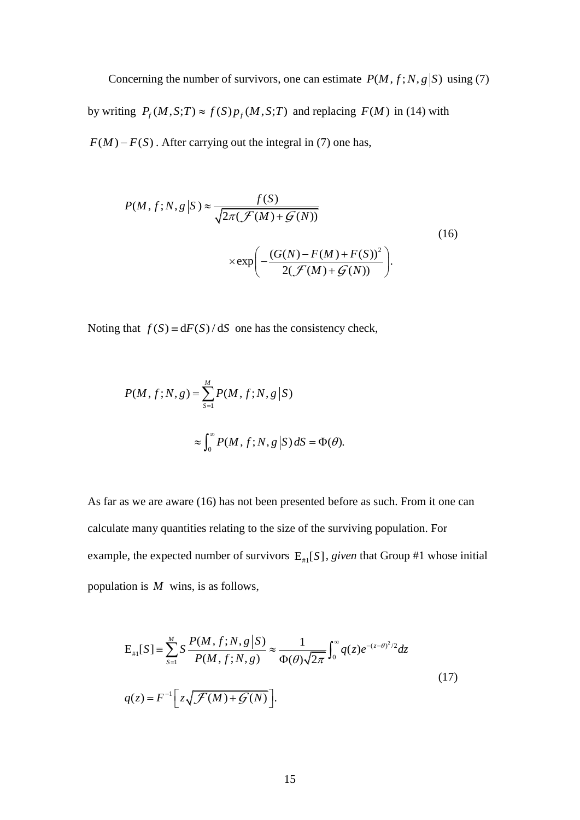Concerning the number of survivors, one can estimate  $P(M, f; N, g|S)$  using (7) by writing  $P_f(M, S; T) \approx f(S) p_f(M, S; T)$  and replacing  $F(M)$  in (14) with  $F(M) - F(S)$ . After carrying out the integral in (7) one has,

$$
P(M, f; N, g | S) \approx \frac{f(S)}{\sqrt{2\pi(\mathcal{F}(M) + \mathcal{G}(N))}}
$$
\n
$$
\times \exp\left(-\frac{(G(N) - F(M) + F(S))^2}{2(\mathcal{F}(M) + \mathcal{G}(N))}\right).
$$
\n(16)

Noting that  $f(S) = dF(S)/dS$  one has the consistency check,

$$
P(M, f; N, g) = \sum_{S=1}^{M} P(M, f; N, g | S)
$$

$$
\approx \int_{0}^{\infty} P(M, f; N, g | S) dS = \Phi(\theta).
$$

As far as we are aware (16) has not been presented before as such. From it one can calculate many quantities relating to the size of the surviving population. For example, the expected number of survivors  $E_{\mu}$ [S], *given* that Group #1 whose initial population is *M* wins, is as follows,

$$
E_{\#1}[S] = \sum_{s=1}^{M} S \frac{P(M, f; N, g | S)}{P(M, f; N, g)} \approx \frac{1}{\Phi(\theta) \sqrt{2\pi}} \int_{0}^{\infty} q(z) e^{-(z-\theta)^{2}/2} dz
$$
  
(17)  

$$
q(z) = F^{-1} \Big[ z \sqrt{\mathcal{F}(M) + \mathcal{G}(N)} \Big].
$$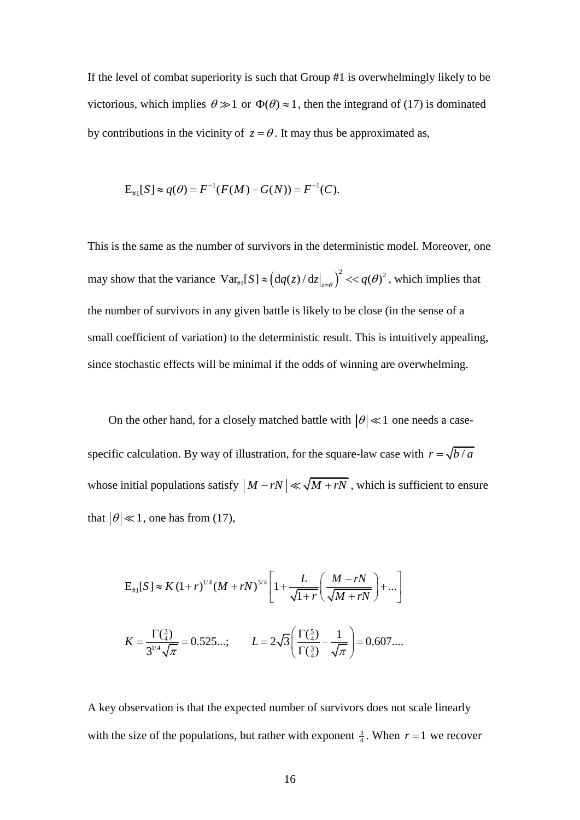If the level of combat superiority is such that Group #1 is overwhelmingly likely to be victorious, which implies  $\theta \gg 1$  or  $\Phi(\theta) \approx 1$ , then the integrand of (17) is dominated by contributions in the vicinity of  $z = \theta$ . It may thus be approximated as,

$$
E_{\#1}[S] \approx q(\theta) = F^{-1}(F(M) - G(N)) = F^{-1}(C).
$$

This is the same as the number of survivors in the deterministic model. Moreover, one may show that the variance  $Var_{\theta_{1}}[S] \approx (dq(z)/dz|_{z=0})^2$  $Var_{\{a\}}[S] \approx \left(\frac{dq(z)}{dz}\Big|_{z=\theta}\right)^2 \ll q(\theta)^2$ , which implies that the number of survivors in any given battle is likely to be close (in the sense of a small coefficient of variation) to the deterministic result. This is intuitively appealing, since stochastic effects will be minimal if the odds of winning are overwhelming.

On the other hand, for a closely matched battle with  $|\theta| \ll 1$  one needs a casespecific calculation. By way of illustration, for the square-law case with  $r = \sqrt{b/a}$ whose initial populations satisfy  $|M - rN| \ll \sqrt{M + rN}$ , which is sufficient to ensure that  $|\theta| \ll 1$ , one has from (17),

$$
E_{\#1}[S] \approx K (1+r)^{1/4} (M+rN)^{3/4} \left[ 1 + \frac{L}{\sqrt{1+r}} \left( \frac{M-rN}{\sqrt{M+rN}} \right) + \dots \right]
$$
  

$$
K = \frac{\Gamma(\frac{3}{4})}{3^{1/4} \sqrt{\pi}} = 0.525...; \qquad L = 2\sqrt{3} \left( \frac{\Gamma(\frac{5}{4})}{\Gamma(\frac{3}{4})} - \frac{1}{\sqrt{\pi}} \right) = 0.607...
$$

A key observation is that the expected number of survivors does not scale linearly with the size of the populations, but rather with exponent  $\frac{3}{4}$ . When  $r = 1$  we recover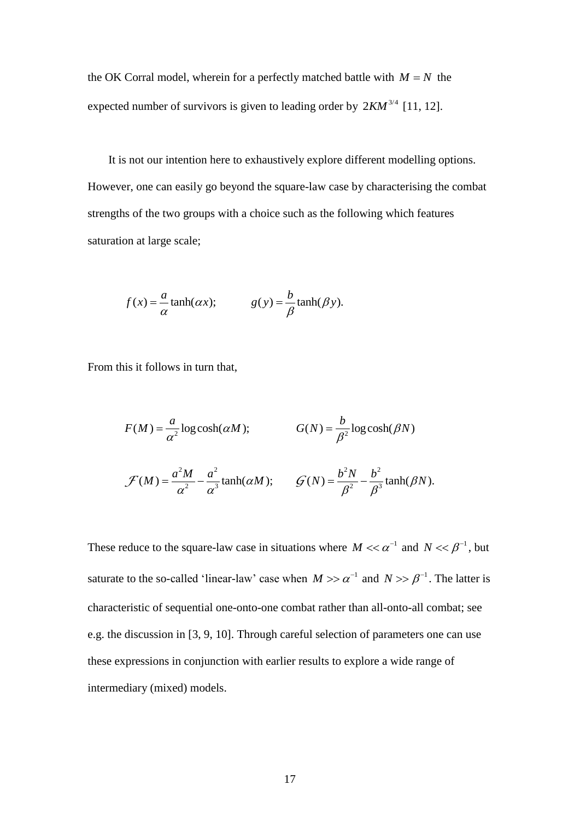the OK Corral model, wherein for a perfectly matched battle with  $M = N$  the expected number of survivors is given to leading order by  $2KM^{3/4}$  [11, 12].

It is not our intention here to exhaustively explore different modelling options. However, one can easily go beyond the square-law case by characterising the combat strengths of the two groups with a choice such as the following which features saturation at large scale;

$$
f(x) = \frac{a}{\alpha} \tanh(\alpha x);
$$
  $g(y) = \frac{b}{\beta} \tanh(\beta y).$ 

From this it follows in turn that,

$$
F(M) = \frac{a}{\alpha^2} \log \cosh(\alpha M); \qquad G(N) = \frac{b}{\beta^2} \log \cosh(\beta N)
$$

$$
\mathcal{F}(M) = \frac{a^2 M}{\alpha^2} - \frac{a^2}{\alpha^3} \tanh(\alpha M); \qquad \mathcal{G}(N) = \frac{b^2 N}{\beta^2} - \frac{b^2}{\beta^3} \tanh(\beta N).
$$

These reduce to the square-law case in situations where  $M \ll \alpha^{-1}$  and  $N \ll \beta^{-1}$ , but saturate to the so-called 'linear-law' case when  $M \gg \alpha^{-1}$  and  $N \gg \beta^{-1}$ . The latter is characteristic of sequential one-onto-one combat rather than all-onto-all combat; see e.g. the discussion in [3, 9, 10]. Through careful selection of parameters one can use these expressions in conjunction with earlier results to explore a wide range of intermediary (mixed) models.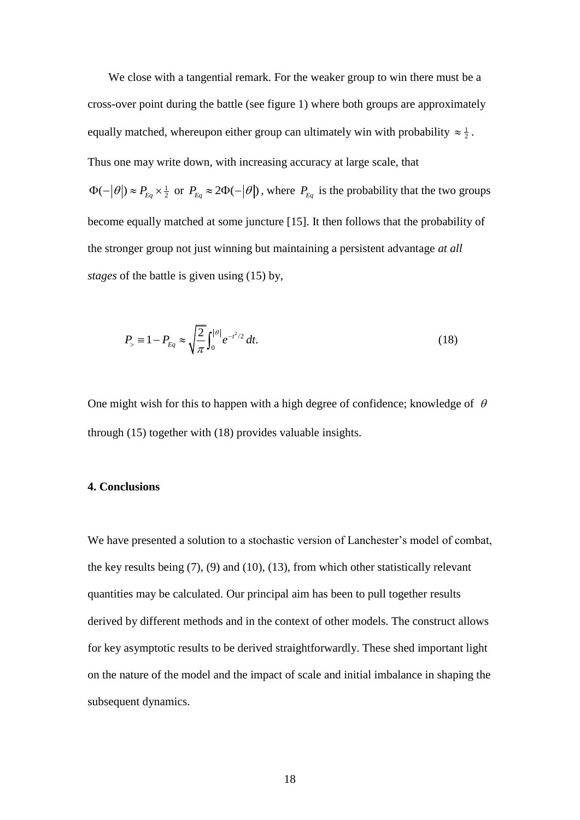We close with a tangential remark. For the weaker group to win there must be a cross-over point during the battle (see figure 1) where both groups are approximately equally matched, whereupon either group can ultimately win with probability  $\approx \frac{1}{2}$ . Thus one may write down, with increasing accuracy at large scale, that  $\Phi(-|\theta|) \approx P_{Eq} \times \frac{1}{2}$  or  $P_{Eq} \approx 2\Phi(-|\theta|)$ , where  $P_{Eq}$  is the probability that the two groups become equally matched at some juncture [15]. It then follows that the probability of the stronger group not just winning but maintaining a persistent advantage *at all stages* of the battle is given using (15) by,

$$
P_{\geq} \equiv 1 - P_{Eq} \approx \sqrt{\frac{2}{\pi}} \int_0^{|\theta|} e^{-t^2/2} dt.
$$
 (18)

One might wish for this to happen with a high degree of confidence; knowledge of  $\theta$ through (15) together with (18) provides valuable insights.

#### **4. Conclusions**

We have presented a solution to a stochastic version of Lanchester's model of combat, the key results being (7), (9) and (10), (13), from which other statistically relevant quantities may be calculated. Our principal aim has been to pull together results derived by different methods and in the context of other models. The construct allows for key asymptotic results to be derived straightforwardly. These shed important light on the nature of the model and the impact of scale and initial imbalance in shaping the subsequent dynamics.